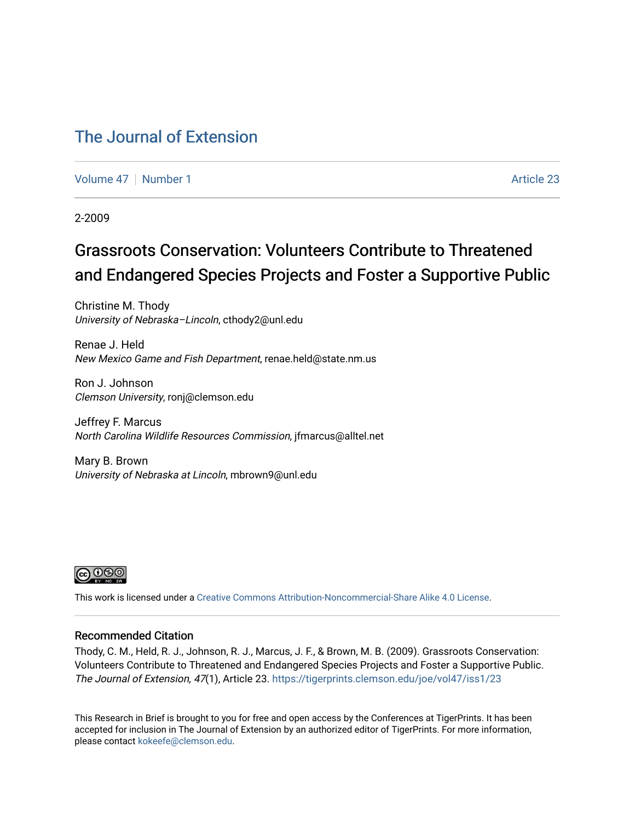### [The Journal of Extension](https://tigerprints.clemson.edu/joe)

[Volume 47](https://tigerprints.clemson.edu/joe/vol47) | [Number 1](https://tigerprints.clemson.edu/joe/vol47/iss1) Article 23

2-2009

### Grassroots Conservation: Volunteers Contribute to Threatened and Endangered Species Projects and Foster a Supportive Public

Christine M. Thody University of Nebraska–Lincoln, cthody2@unl.edu

Renae J. Held New Mexico Game and Fish Department, renae.held@state.nm.us

Ron J. Johnson Clemson University, ronj@clemson.edu

Jeffrey F. Marcus North Carolina Wildlife Resources Commission, jfmarcus@alltel.net

Mary B. Brown University of Nebraska at Lincoln, mbrown9@unl.edu



This work is licensed under a [Creative Commons Attribution-Noncommercial-Share Alike 4.0 License.](https://creativecommons.org/licenses/by-nc-sa/4.0/)

#### Recommended Citation

Thody, C. M., Held, R. J., Johnson, R. J., Marcus, J. F., & Brown, M. B. (2009). Grassroots Conservation: Volunteers Contribute to Threatened and Endangered Species Projects and Foster a Supportive Public. The Journal of Extension, 47(1), Article 23. <https://tigerprints.clemson.edu/joe/vol47/iss1/23>

This Research in Brief is brought to you for free and open access by the Conferences at TigerPrints. It has been accepted for inclusion in The Journal of Extension by an authorized editor of TigerPrints. For more information, please contact [kokeefe@clemson.edu](mailto:kokeefe@clemson.edu).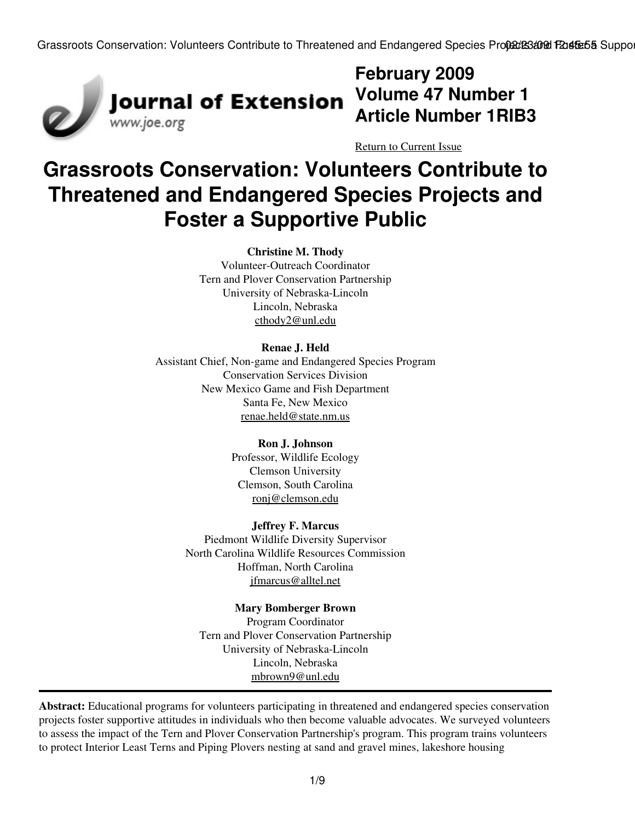

# **February 2009 Article Number 1RIB3**

[Return to Current Issue](http://www.joe.org:80/joe/2009february/)

## **Grassroots Conservation: Volunteers Contribute to Threatened and Endangered Species Projects and Foster a Supportive Public**

**Christine M. Thody**

Volunteer-Outreach Coordinator Tern and Plover Conservation Partnership University of Nebraska-Lincoln Lincoln, Nebraska [cthody2@unl.edu](mailto:cthody2@unl.edu)

### **Renae J. Held**

Assistant Chief, Non-game and Endangered Species Program Conservation Services Division New Mexico Game and Fish Department Santa Fe, New Mexico [renae.held@state.nm.us](mailto:renae.held@state.nm.us)

#### **Ron J. Johnson**

Professor, Wildlife Ecology Clemson University Clemson, South Carolina [ronj@clemson.edu](mailto:ronj@clemson.edu)

#### **Jeffrey F. Marcus**

Piedmont Wildlife Diversity Supervisor North Carolina Wildlife Resources Commission Hoffman, North Carolina [jfmarcus@alltel.net](mailto:jfmarcus@alltel.net)

#### **Mary Bomberger Brown**

Program Coordinator Tern and Plover Conservation Partnership University of Nebraska-Lincoln Lincoln, Nebraska [mbrown9@unl.edu](mailto:mbrown9@unl.edu)

**Abstract:** Educational programs for volunteers participating in threatened and endangered species conservation projects foster supportive attitudes in individuals who then become valuable advocates. We surveyed volunteers to assess the impact of the Tern and Plover Conservation Partnership's program. This program trains volunteers to protect Interior Least Terns and Piping Plovers nesting at sand and gravel mines, lakeshore housing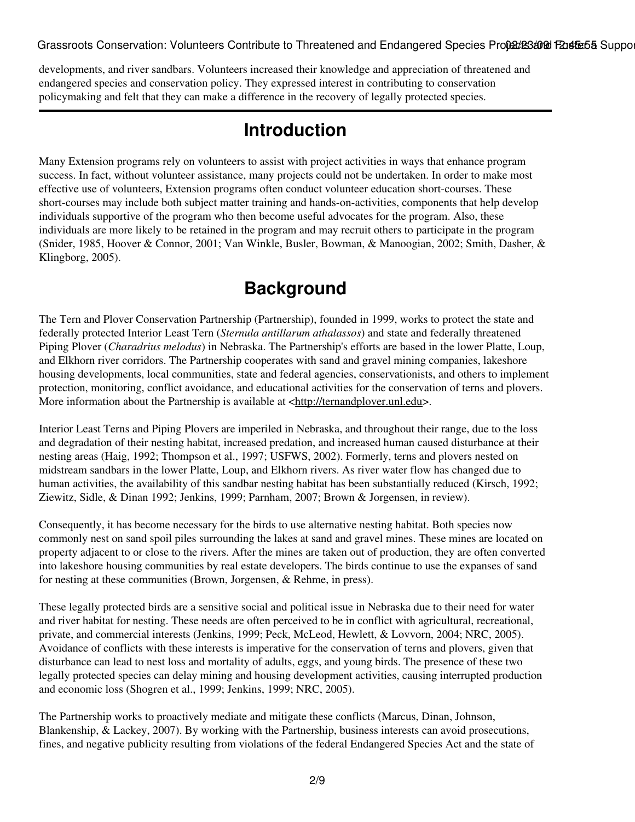developments, and river sandbars. Volunteers increased their knowledge and appreciation of threatened and endangered species and conservation policy. They expressed interest in contributing to conservation policymaking and felt that they can make a difference in the recovery of legally protected species.

### **Introduction**

Many Extension programs rely on volunteers to assist with project activities in ways that enhance program success. In fact, without volunteer assistance, many projects could not be undertaken. In order to make most effective use of volunteers, Extension programs often conduct volunteer education short-courses. These short-courses may include both subject matter training and hands-on-activities, components that help develop individuals supportive of the program who then become useful advocates for the program. Also, these individuals are more likely to be retained in the program and may recruit others to participate in the program (Snider, 1985, Hoover & Connor, 2001; Van Winkle, Busler, Bowman, & Manoogian, 2002; Smith, Dasher, & Klingborg, 2005).

### **Background**

The Tern and Plover Conservation Partnership (Partnership), founded in 1999, works to protect the state and federally protected Interior Least Tern (*Sternula antillarum athalassos*) and state and federally threatened Piping Plover (*Charadrius melodus*) in Nebraska. The Partnership's efforts are based in the lower Platte, Loup, and Elkhorn river corridors. The Partnership cooperates with sand and gravel mining companies, lakeshore housing developments, local communities, state and federal agencies, conservationists, and others to implement protection, monitoring, conflict avoidance, and educational activities for the conservation of terns and plovers. More information about the Partnership is available at [<http://ternandplover.unl.edu](http://ternandplover.unl.edu/)>.

Interior Least Terns and Piping Plovers are imperiled in Nebraska, and throughout their range, due to the loss and degradation of their nesting habitat, increased predation, and increased human caused disturbance at their nesting areas (Haig, 1992; Thompson et al., 1997; USFWS, 2002). Formerly, terns and plovers nested on midstream sandbars in the lower Platte, Loup, and Elkhorn rivers. As river water flow has changed due to human activities, the availability of this sandbar nesting habitat has been substantially reduced (Kirsch, 1992; Ziewitz, Sidle, & Dinan 1992; Jenkins, 1999; Parnham, 2007; Brown & Jorgensen, in review).

Consequently, it has become necessary for the birds to use alternative nesting habitat. Both species now commonly nest on sand spoil piles surrounding the lakes at sand and gravel mines. These mines are located on property adjacent to or close to the rivers. After the mines are taken out of production, they are often converted into lakeshore housing communities by real estate developers. The birds continue to use the expanses of sand for nesting at these communities (Brown, Jorgensen, & Rehme, in press).

These legally protected birds are a sensitive social and political issue in Nebraska due to their need for water and river habitat for nesting. These needs are often perceived to be in conflict with agricultural, recreational, private, and commercial interests (Jenkins, 1999; Peck, McLeod, Hewlett, & Lovvorn, 2004; NRC, 2005). Avoidance of conflicts with these interests is imperative for the conservation of terns and plovers, given that disturbance can lead to nest loss and mortality of adults, eggs, and young birds. The presence of these two legally protected species can delay mining and housing development activities, causing interrupted production and economic loss (Shogren et al., 1999; Jenkins, 1999; NRC, 2005).

The Partnership works to proactively mediate and mitigate these conflicts (Marcus, Dinan, Johnson, Blankenship, & Lackey, 2007). By working with the Partnership, business interests can avoid prosecutions, fines, and negative publicity resulting from violations of the federal Endangered Species Act and the state of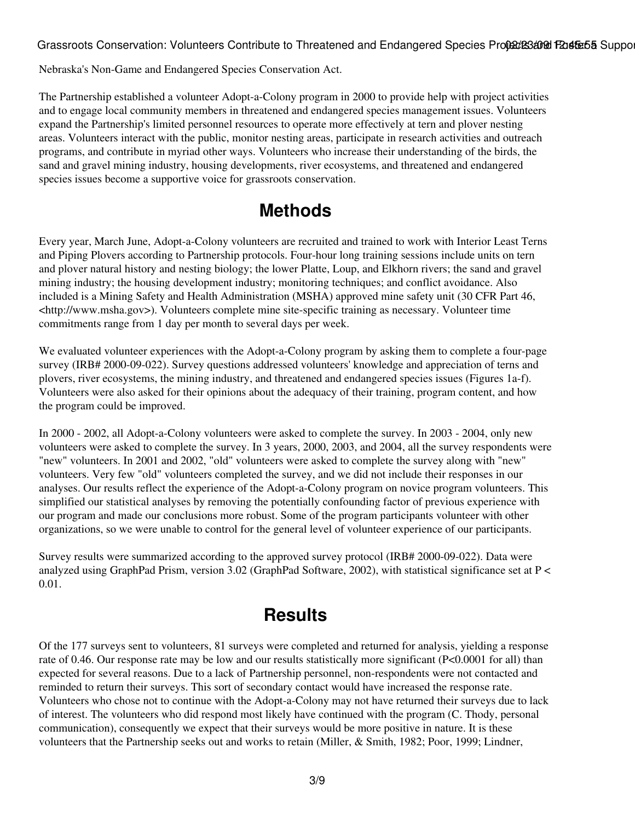Nebraska's Non-Game and Endangered Species Conservation Act.

The Partnership established a volunteer Adopt-a-Colony program in 2000 to provide help with project activities and to engage local community members in threatened and endangered species management issues. Volunteers expand the Partnership's limited personnel resources to operate more effectively at tern and plover nesting areas. Volunteers interact with the public, monitor nesting areas, participate in research activities and outreach programs, and contribute in myriad other ways. Volunteers who increase their understanding of the birds, the sand and gravel mining industry, housing developments, river ecosystems, and threatened and endangered species issues become a supportive voice for grassroots conservation.

### **Methods**

Every year, March June, Adopt-a-Colony volunteers are recruited and trained to work with Interior Least Terns and Piping Plovers according to Partnership protocols. Four-hour long training sessions include units on tern and plover natural history and nesting biology; the lower Platte, Loup, and Elkhorn rivers; the sand and gravel mining industry; the housing development industry; monitoring techniques; and conflict avoidance. Also included is a Mining Safety and Health Administration (MSHA) approved mine safety unit (30 CFR Part 46, <http://www.msha.gov>). Volunteers complete mine site-specific training as necessary. Volunteer time commitments range from 1 day per month to several days per week.

We evaluated volunteer experiences with the Adopt-a-Colony program by asking them to complete a four-page survey (IRB# 2000-09-022). Survey questions addressed volunteers' knowledge and appreciation of terns and plovers, river ecosystems, the mining industry, and threatened and endangered species issues (Figures 1a-f). Volunteers were also asked for their opinions about the adequacy of their training, program content, and how the program could be improved.

In 2000 - 2002, all Adopt-a-Colony volunteers were asked to complete the survey. In 2003 - 2004, only new volunteers were asked to complete the survey. In 3 years, 2000, 2003, and 2004, all the survey respondents were "new" volunteers. In 2001 and 2002, "old" volunteers were asked to complete the survey along with "new" volunteers. Very few "old" volunteers completed the survey, and we did not include their responses in our analyses. Our results reflect the experience of the Adopt-a-Colony program on novice program volunteers. This simplified our statistical analyses by removing the potentially confounding factor of previous experience with our program and made our conclusions more robust. Some of the program participants volunteer with other organizations, so we were unable to control for the general level of volunteer experience of our participants.

Survey results were summarized according to the approved survey protocol (IRB# 2000-09-022). Data were analyzed using GraphPad Prism, version 3.02 (GraphPad Software, 2002), with statistical significance set at P < 0.01.

### **Results**

Of the 177 surveys sent to volunteers, 81 surveys were completed and returned for analysis, yielding a response rate of 0.46. Our response rate may be low and our results statistically more significant (P<0.0001 for all) than expected for several reasons. Due to a lack of Partnership personnel, non-respondents were not contacted and reminded to return their surveys. This sort of secondary contact would have increased the response rate. Volunteers who chose not to continue with the Adopt-a-Colony may not have returned their surveys due to lack of interest. The volunteers who did respond most likely have continued with the program (C. Thody, personal communication), consequently we expect that their surveys would be more positive in nature. It is these volunteers that the Partnership seeks out and works to retain (Miller, & Smith, 1982; Poor, 1999; Lindner,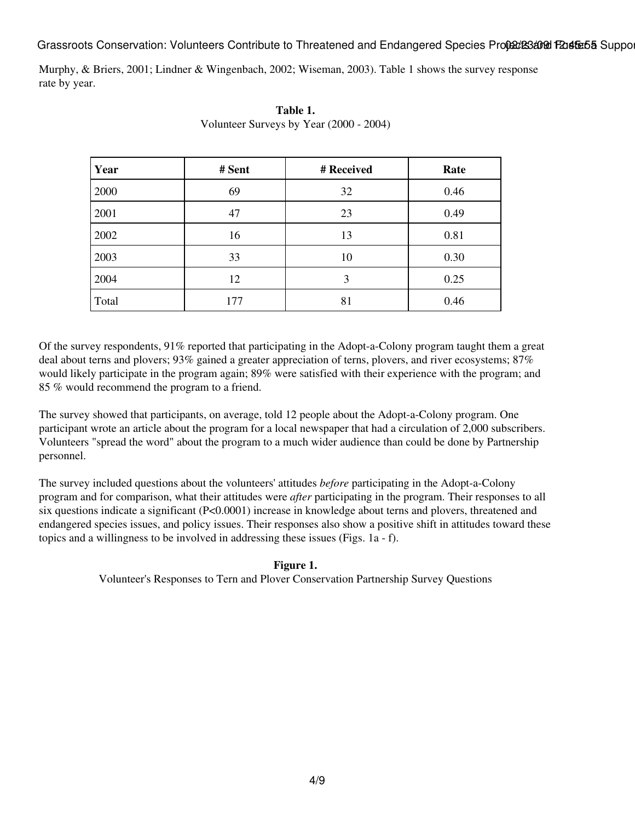Murphy, & Briers, 2001; Lindner & Wingenbach, 2002; Wiseman, 2003). Table 1 shows the survey response rate by year.

| Year  | # Sent | # Received | Rate |
|-------|--------|------------|------|
| 2000  | 69     | 32         | 0.46 |
| 2001  | 47     | 23         | 0.49 |
| 2002  | 16     | 13         | 0.81 |
| 2003  | 33     | 10         | 0.30 |
| 2004  | 12     | 3          | 0.25 |
| Total | 177    | 81         | 0.46 |

**Table 1.** Volunteer Surveys by Year (2000 - 2004)

Of the survey respondents, 91% reported that participating in the Adopt-a-Colony program taught them a great deal about terns and plovers; 93% gained a greater appreciation of terns, plovers, and river ecosystems; 87% would likely participate in the program again; 89% were satisfied with their experience with the program; and 85 % would recommend the program to a friend.

The survey showed that participants, on average, told 12 people about the Adopt-a-Colony program. One participant wrote an article about the program for a local newspaper that had a circulation of 2,000 subscribers. Volunteers "spread the word" about the program to a much wider audience than could be done by Partnership personnel.

The survey included questions about the volunteers' attitudes *before* participating in the Adopt-a-Colony program and for comparison, what their attitudes were *after* participating in the program. Their responses to all six questions indicate a significant (P<0.0001) increase in knowledge about terns and plovers, threatened and endangered species issues, and policy issues. Their responses also show a positive shift in attitudes toward these topics and a willingness to be involved in addressing these issues (Figs. 1a - f).

#### **Figure 1.**

Volunteer's Responses to Tern and Plover Conservation Partnership Survey Questions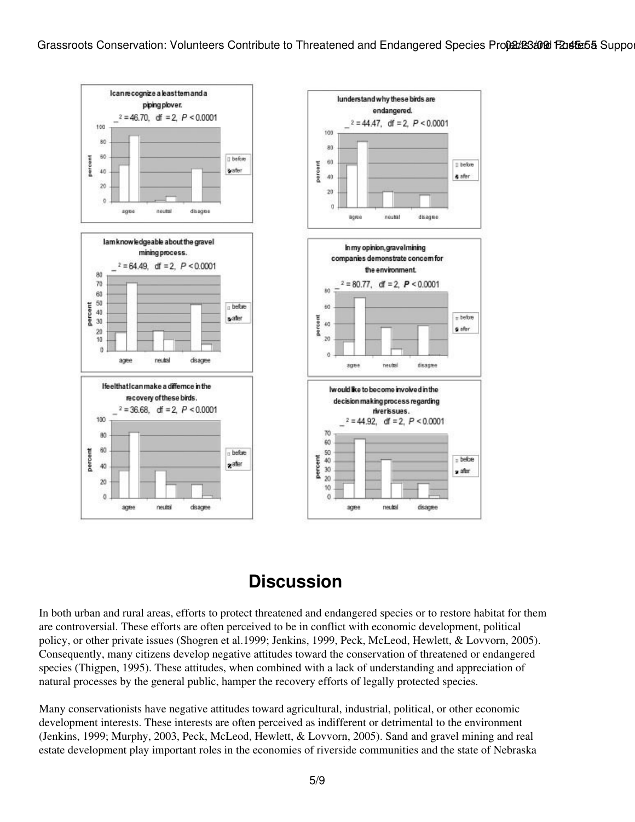

### **Discussion**

In both urban and rural areas, efforts to protect threatened and endangered species or to restore habitat for them are controversial. These efforts are often perceived to be in conflict with economic development, political policy, or other private issues (Shogren et al.1999; Jenkins, 1999, Peck, McLeod, Hewlett, & Lovvorn, 2005). Consequently, many citizens develop negative attitudes toward the conservation of threatened or endangered species (Thigpen, 1995). These attitudes, when combined with a lack of understanding and appreciation of natural processes by the general public, hamper the recovery efforts of legally protected species.

Many conservationists have negative attitudes toward agricultural, industrial, political, or other economic development interests. These interests are often perceived as indifferent or detrimental to the environment (Jenkins, 1999; Murphy, 2003, Peck, McLeod, Hewlett, & Lovvorn, 2005). Sand and gravel mining and real estate development play important roles in the economies of riverside communities and the state of Nebraska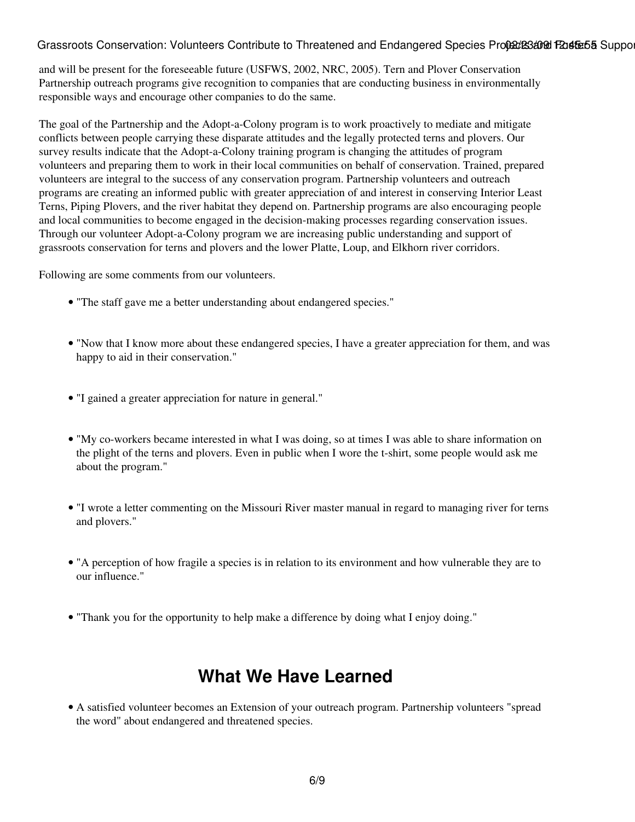and will be present for the foreseeable future (USFWS, 2002, NRC, 2005). Tern and Plover Conservation Partnership outreach programs give recognition to companies that are conducting business in environmentally responsible ways and encourage other companies to do the same.

The goal of the Partnership and the Adopt-a-Colony program is to work proactively to mediate and mitigate conflicts between people carrying these disparate attitudes and the legally protected terns and plovers. Our survey results indicate that the Adopt-a-Colony training program is changing the attitudes of program volunteers and preparing them to work in their local communities on behalf of conservation. Trained, prepared volunteers are integral to the success of any conservation program. Partnership volunteers and outreach programs are creating an informed public with greater appreciation of and interest in conserving Interior Least Terns, Piping Plovers, and the river habitat they depend on. Partnership programs are also encouraging people and local communities to become engaged in the decision-making processes regarding conservation issues. Through our volunteer Adopt-a-Colony program we are increasing public understanding and support of grassroots conservation for terns and plovers and the lower Platte, Loup, and Elkhorn river corridors.

Following are some comments from our volunteers.

- "The staff gave me a better understanding about endangered species."
- "Now that I know more about these endangered species, I have a greater appreciation for them, and was happy to aid in their conservation."
- "I gained a greater appreciation for nature in general."
- "My co-workers became interested in what I was doing, so at times I was able to share information on the plight of the terns and plovers. Even in public when I wore the t-shirt, some people would ask me about the program."
- "I wrote a letter commenting on the Missouri River master manual in regard to managing river for terns and plovers."
- "A perception of how fragile a species is in relation to its environment and how vulnerable they are to our influence."
- "Thank you for the opportunity to help make a difference by doing what I enjoy doing."

### **What We Have Learned**

A satisfied volunteer becomes an Extension of your outreach program. Partnership volunteers "spread • the word" about endangered and threatened species.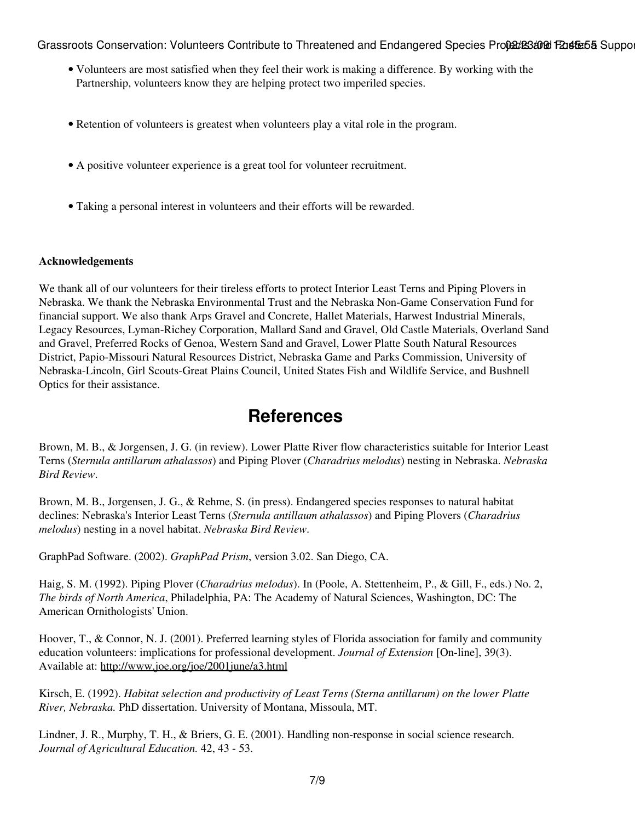- Volunteers are most satisfied when they feel their work is making a difference. By working with the Partnership, volunteers know they are helping protect two imperiled species.
- Retention of volunteers is greatest when volunteers play a vital role in the program.
- A positive volunteer experience is a great tool for volunteer recruitment.
- Taking a personal interest in volunteers and their efforts will be rewarded.

#### **Acknowledgements**

We thank all of our volunteers for their tireless efforts to protect Interior Least Terns and Piping Plovers in Nebraska. We thank the Nebraska Environmental Trust and the Nebraska Non-Game Conservation Fund for financial support. We also thank Arps Gravel and Concrete, Hallet Materials, Harwest Industrial Minerals, Legacy Resources, Lyman-Richey Corporation, Mallard Sand and Gravel, Old Castle Materials, Overland Sand and Gravel, Preferred Rocks of Genoa, Western Sand and Gravel, Lower Platte South Natural Resources District, Papio-Missouri Natural Resources District, Nebraska Game and Parks Commission, University of Nebraska-Lincoln, Girl Scouts-Great Plains Council, United States Fish and Wildlife Service, and Bushnell Optics for their assistance.

### **References**

Brown, M. B., & Jorgensen, J. G. (in review). Lower Platte River flow characteristics suitable for Interior Least Terns (*Sternula antillarum athalassos*) and Piping Plover (*Charadrius melodus*) nesting in Nebraska. *Nebraska Bird Review*.

Brown, M. B., Jorgensen, J. G., & Rehme, S. (in press). Endangered species responses to natural habitat declines: Nebraska's Interior Least Terns (*Sternula antillaum athalassos*) and Piping Plovers (*Charadrius melodus*) nesting in a novel habitat. *Nebraska Bird Review*.

GraphPad Software. (2002). *GraphPad Prism*, version 3.02. San Diego, CA.

Haig, S. M. (1992). Piping Plover (*Charadrius melodus*). In (Poole, A. Stettenheim, P., & Gill, F., eds.) No. 2, *The birds of North America*, Philadelphia, PA: The Academy of Natural Sciences, Washington, DC: The American Ornithologists' Union.

Hoover, T., & Connor, N. J. (2001). Preferred learning styles of Florida association for family and community education volunteers: implications for professional development. *Journal of Extension* [On-line], 39(3). Available at: <http://www.joe.org/joe/2001june/a3.html>

Kirsch, E. (1992). *Habitat selection and productivity of Least Terns (Sterna antillarum) on the lower Platte River, Nebraska.* PhD dissertation. University of Montana, Missoula, MT.

Lindner, J. R., Murphy, T. H., & Briers, G. E. (2001). Handling non-response in social science research. *Journal of Agricultural Education.* 42, 43 - 53.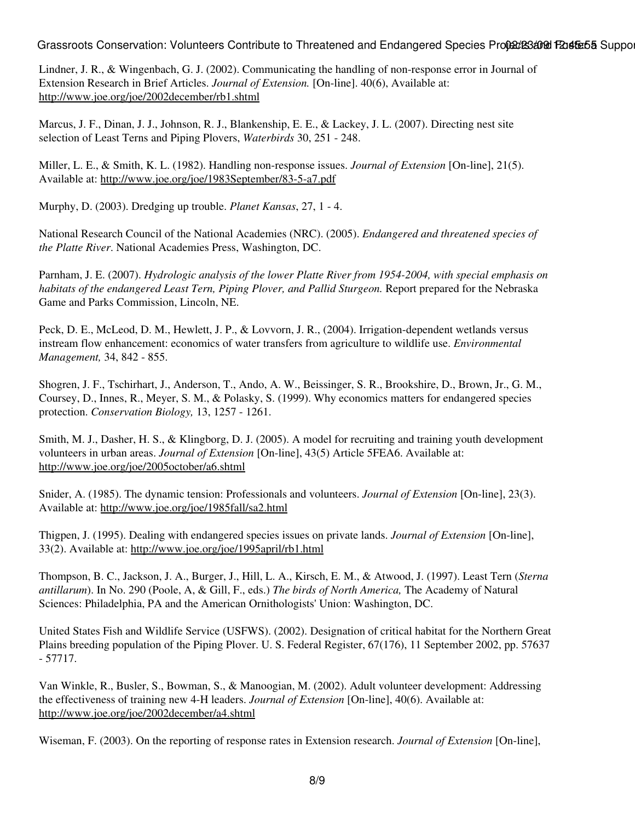Lindner, J. R., & Wingenbach, G. J. (2002). Communicating the handling of non-response error in Journal of Extension Research in Brief Articles. *Journal of Extension.* [On-line]. 40(6), Available at: <http://www.joe.org/joe/2002december/rb1.shtml>

Marcus, J. F., Dinan, J. J., Johnson, R. J., Blankenship, E. E., & Lackey, J. L. (2007). Directing nest site selection of Least Terns and Piping Plovers, *Waterbirds* 30, 251 - 248.

Miller, L. E., & Smith, K. L. (1982). Handling non-response issues. *Journal of Extension* [On-line], 21(5). Available at: <http://www.joe.org/joe/1983September/83-5-a7.pdf>

Murphy, D. (2003). Dredging up trouble. *Planet Kansas*, 27, 1 - 4.

National Research Council of the National Academies (NRC). (2005). *Endangered and threatened species of the Platte River*. National Academies Press, Washington, DC.

Parnham, J. E. (2007). *Hydrologic analysis of the lower Platte River from 1954-2004, with special emphasis on habitats of the endangered Least Tern, Piping Plover, and Pallid Sturgeon.* Report prepared for the Nebraska Game and Parks Commission, Lincoln, NE.

Peck, D. E., McLeod, D. M., Hewlett, J. P., & Lovvorn, J. R., (2004). Irrigation-dependent wetlands versus instream flow enhancement: economics of water transfers from agriculture to wildlife use. *Environmental Management,* 34, 842 - 855.

Shogren, J. F., Tschirhart, J., Anderson, T., Ando, A. W., Beissinger, S. R., Brookshire, D., Brown, Jr., G. M., Coursey, D., Innes, R., Meyer, S. M., & Polasky, S. (1999). Why economics matters for endangered species protection. *Conservation Biology,* 13, 1257 - 1261.

Smith, M. J., Dasher, H. S., & Klingborg, D. J. (2005). A model for recruiting and training youth development volunteers in urban areas. *Journal of Extension* [On-line], 43(5) Article 5FEA6. Available at: <http://www.joe.org/joe/2005october/a6.shtml>

Snider, A. (1985). The dynamic tension: Professionals and volunteers. *Journal of Extension* [On-line], 23(3). Available at: <http://www.joe.org/joe/1985fall/sa2.html>

Thigpen, J. (1995). Dealing with endangered species issues on private lands. *Journal of Extension* [On-line], 33(2). Available at:<http://www.joe.org/joe/1995april/rb1.html>

Thompson, B. C., Jackson, J. A., Burger, J., Hill, L. A., Kirsch, E. M., & Atwood, J. (1997). Least Tern (*Sterna antillarum*). In No. 290 (Poole, A, & Gill, F., eds.) *The birds of North America,* The Academy of Natural Sciences: Philadelphia, PA and the American Ornithologists' Union: Washington, DC.

United States Fish and Wildlife Service (USFWS). (2002). Designation of critical habitat for the Northern Great Plains breeding population of the Piping Plover. U. S. Federal Register, 67(176), 11 September 2002, pp. 57637 - 57717.

Van Winkle, R., Busler, S., Bowman, S., & Manoogian, M. (2002). Adult volunteer development: Addressing the effectiveness of training new 4-H leaders. *Journal of Extension* [On-line], 40(6). Available at: <http://www.joe.org/joe/2002december/a4.shtml>

Wiseman, F. (2003). On the reporting of response rates in Extension research. *Journal of Extension* [On-line],